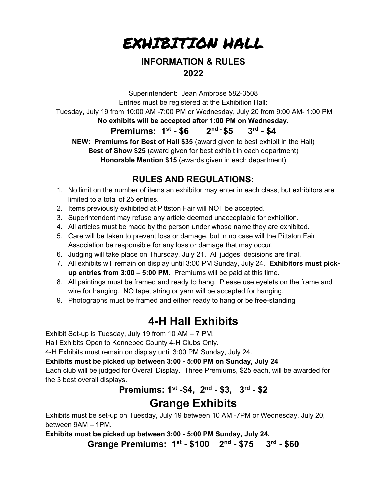

### INFORMATION & RULES 2022

Superintendent: Jean Ambrose 582-3508 Entries must be registered at the Exhibition Hall: Tuesday, July 19 from 10:00 AM -7:00 PM or Wednesday, July 20 from 9:00 AM- 1:00 PM No exhibits will be accepted after 1:00 PM on Wednesday. Premiums:  $1^{st} - $6$   $2^{nd} - $5$   $3^{rd} - $4$ NEW: Premiums for Best of Hall \$35 (award given to best exhibit in the Hall) Best of Show \$25 (award given for best exhibit in each department) Honorable Mention \$15 (awards given in each department)

### RULES AND REGULATIONS:

- 1. No limit on the number of items an exhibitor may enter in each class, but exhibitors are limited to a total of 25 entries.
- 2. Items previously exhibited at Pittston Fair will NOT be accepted.
- 3. Superintendent may refuse any article deemed unacceptable for exhibition.
- 4. All articles must be made by the person under whose name they are exhibited.
- 5. Care will be taken to prevent loss or damage, but in no case will the Pittston Fair Association be responsible for any loss or damage that may occur.
- 6. Judging will take place on Thursday, July 21. All judges' decisions are final.
- 7. All exhibits will remain on display until 3:00 PM Sunday, July 24. Exhibitors must pickup entries from 3:00 – 5:00 PM. Premiums will be paid at this time.
- 8. All paintings must be framed and ready to hang. Please use eyelets on the frame and wire for hanging. NO tape, string or yarn will be accepted for hanging.
- 9. Photographs must be framed and either ready to hang or be free-standing

## 4-H Hall Exhibits

Exhibit Set-up is Tuesday, July 19 from 10 AM – 7 PM.

Hall Exhibits Open to Kennebec County 4-H Clubs Only.

4-H Exhibits must remain on display until 3:00 PM Sunday, July 24.

Exhibits must be picked up between 3:00 - 5:00 PM on Sunday, July 24

Each club will be judged for Overall Display. Three Premiums, \$25 each, will be awarded for the 3 best overall displays.

### Premiums: 1st -\$4, 2nd - \$3, 3rd - \$2 Grange Exhibits

Exhibits must be set-up on Tuesday, July 19 between 10 AM -7PM or Wednesday, July 20, between 9AM – 1PM.

Exhibits must be picked up between 3:00 - 5:00 PM Sunday, July 24.

Grange Premiums: 1st - \$100 2nd - \$75 3rd - \$60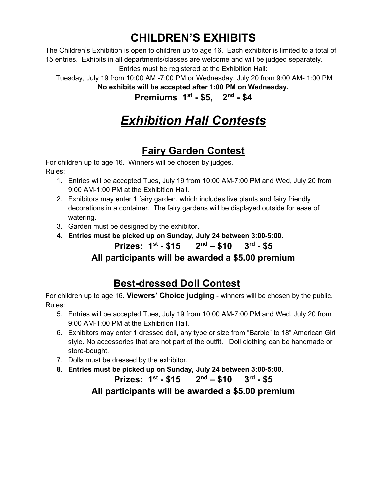## CHILDREN'S EXHIBITS

The Children's Exhibition is open to children up to age 16. Each exhibitor is limited to a total of 15 entries. Exhibits in all departments/classes are welcome and will be judged separately. Entries must be registered at the Exhibition Hall:

 Tuesday, July 19 from 10:00 AM -7:00 PM or Wednesday, July 20 from 9:00 AM- 1:00 PM No exhibits will be accepted after 1:00 PM on Wednesday.

Premiums  $1^{st} - $5$ .  $2^{nd} - $4$ 

# Exhibition Hall Contests

### Fairy Garden Contest

For children up to age 16. Winners will be chosen by judges. Rules:

- 1. Entries will be accepted Tues, July 19 from 10:00 AM-7:00 PM and Wed, July 20 from 9:00 AM-1:00 PM at the Exhibition Hall.
- 2. Exhibitors may enter 1 fairy garden, which includes live plants and fairy friendly decorations in a container. The fairy gardens will be displayed outside for ease of watering.
- 3. Garden must be designed by the exhibitor.
- 4. Entries must be picked up on Sunday, July 24 between 3:00-5:00.

### Prizes:  $1^{st} - $15$   $2^{nd} - $10$   $3^{rd} - $5$

### All participants will be awarded a \$5.00 premium

## Best-dressed Doll Contest

For children up to age 16. Viewers' Choice judging - winners will be chosen by the public. Rules:

- 5. Entries will be accepted Tues, July 19 from 10:00 AM-7:00 PM and Wed, July 20 from 9:00 AM-1:00 PM at the Exhibition Hall.
- 6. Exhibitors may enter 1 dressed doll, any type or size from "Barbie" to 18" American Girl style. No accessories that are not part of the outfit. Doll clothing can be handmade or store-bought.
- 7. Dolls must be dressed by the exhibitor.
- 8. Entries must be picked up on Sunday, July 24 between 3:00-5:00.

Prizes:  $1^{st} - $15$   $2^{nd} - $10$   $3^{rd} - $5$ All participants will be awarded a \$5.00 premium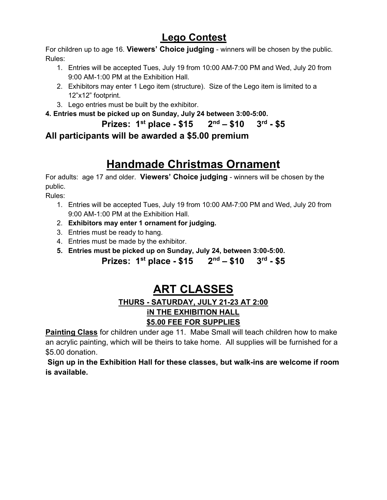### Lego Contest

For children up to age 16. Viewers' Choice judging - winners will be chosen by the public. Rules:

- 1. Entries will be accepted Tues, July 19 from 10:00 AM-7:00 PM and Wed, July 20 from 9:00 AM-1:00 PM at the Exhibition Hall.
- 2. Exhibitors may enter 1 Lego item (structure). Size of the Lego item is limited to a 12"x12" footprint.
- 3. Lego entries must be built by the exhibitor.
- 4. Entries must be picked up on Sunday, July 24 between 3:00-5:00.

Prizes:  $1^{st}$  place - \$15  $2^{nd}$  – \$10  $3^{rd}$  - \$5

All participants will be awarded a \$5.00 premium

# Handmade Christmas Ornament

For adults: age 17 and older. Viewers' Choice judging - winners will be chosen by the public.

Rules:

- 1. Entries will be accepted Tues, July 19 from 10:00 AM-7:00 PM and Wed, July 20 from 9:00 AM-1:00 PM at the Exhibition Hall.
- 2. Exhibitors may enter 1 ornament for judging.
- 3. Entries must be ready to hang.
- 4. Entries must be made by the exhibitor.
- 5. Entries must be picked up on Sunday, July 24, between 3:00-5:00.

Prizes:  $1^{st}$  place - \$15  $2^{nd}$  – \$10  $3^{rd}$  - \$5

# ART CLASSES

### THURS - SATURDAY, JULY 21-23 AT 2:00 iN THE EXHIBITION HALL **\$5.00 FEE FOR SUPPLIES**

**Painting Class** for children under age 11. Mabe Small will teach children how to make an acrylic painting, which will be theirs to take home. All supplies will be furnished for a \$5.00 donation.

Sign up in the Exhibition Hall for these classes, but walk-ins are welcome if room is available.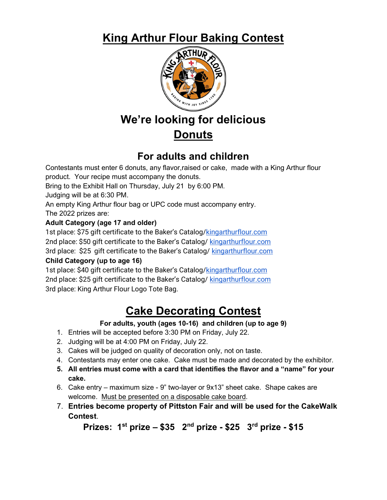## King Arthur Flour Baking Contest



# We're looking for delicious **Donuts**

### For adults and children

Contestants must enter 6 donuts, any flavor,raised or cake, made with a King Arthur flour product. Your recipe must accompany the donuts. Bring to the Exhibit Hall on Thursday, July 21 by 6:00 PM. Judging will be at 6:30 PM. An empty King Arthur flour bag or UPC code must accompany entry. The 2022 prizes are: Adult Category (age 17 and older) 1st place: \$75 gift certificate to the Baker's Catalog/**kingarthurflour.com** 2nd place: \$50 gift certificate to the Baker's Catalog/ kingarthurflour.com

3rd place: \$25 gift certificate to the Baker's Catalog/ kingarthurflour.com

### Child Category (up to age 16)

1st place: \$40 gift certificate to the Baker's Catalog/kingarthurflour.com 2nd place: \$25 gift certificate to the Baker's Catalog/ kingarthurflour.com 3rd place: King Arthur Flour Logo Tote Bag.

# Cake Decorating Contest

### For adults, youth (ages 10-16) and children (up to age 9)

- 1. Entries will be accepted before 3:30 PM on Friday, July 22.
- 2. Judging will be at 4:00 PM on Friday, July 22.
- 3. Cakes will be judged on quality of decoration only, not on taste.
- 4. Contestants may enter one cake. Cake must be made and decorated by the exhibitor.
- 5. All entries must come with a card that identifies the flavor and a "name" for your cake.
- 6. Cake entry maximum size 9" two-layer or 9x13" sheet cake. Shape cakes are welcome. Must be presented on a disposable cake board.
- 7. Entries become property of Pittston Fair and will be used for the CakeWalk Contest.

Prizes:  $1^{st}$  prize – \$35  $2^{nd}$  prize - \$25  $3^{rd}$  prize - \$15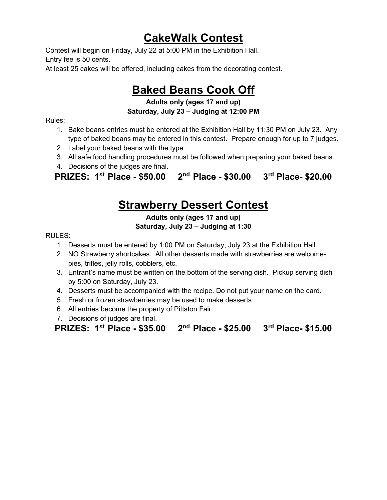## CakeWalk Contest

Contest will begin on Friday, July 22 at 5:00 PM in the Exhibition Hall. Entry fee is 50 cents.

At least 25 cakes will be offered, including cakes from the decorating contest.

## Baked Beans Cook Off

### Adults only (ages 17 and up) Saturday, July 23 – Judging at 12:00 PM

Rules:

- 1. Bake beans entries must be entered at the Exhibition Hall by 11:30 PM on July 23. Any type of baked beans may be entered in this contest. Prepare enough for up to 7 judges.
- 2. Label your baked beans with the type.
- 3. All safe food handling procedures must be followed when preparing your baked beans.
- 4. Decisions of the judges are final.

PRIZES: 1st Place - \$50.00 2nd Place - \$30.00 3rd Place- \$20.00

### **Strawberry Dessert Contest**

Adults only (ages 17 and up) Saturday, July 23 – Judging at 1:30

RULES:

- 1. Desserts must be entered by 1:00 PM on Saturday, July 23 at the Exhibition Hall.
- 2. NO Strawberry shortcakes. All other desserts made with strawberries are welcomepies, trifles, jelly rolls, cobblers, etc.
- 3. Entrant's name must be written on the bottom of the serving dish. Pickup serving dish by 5:00 on Saturday, July 23.
- 4. Desserts must be accompanied with the recipe. Do not put your name on the card.
- 5. Fresh or frozen strawberries may be used to make desserts.
- 6. All entries become the property of Pittston Fair.
- 7. Decisions of judges are final.

| PRIZES: 1 <sup>st</sup> Place - \$35.00 2 <sup>nd</sup> Place - \$25.00 3 <sup>rd</sup> Place- \$15.00 |  |  |
|--------------------------------------------------------------------------------------------------------|--|--|
|--------------------------------------------------------------------------------------------------------|--|--|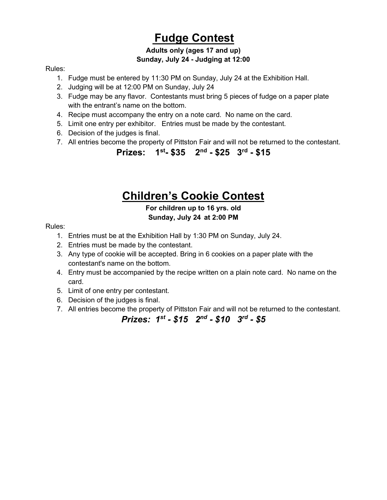## Fudge Contest

### Adults only (ages 17 and up) Sunday, July 24 - Judging at 12:00

#### Rules:

- 1. Fudge must be entered by 11:30 PM on Sunday, July 24 at the Exhibition Hall.
- 2. Judging will be at 12:00 PM on Sunday, July 24
- 3. Fudge may be any flavor. Contestants must bring 5 pieces of fudge on a paper plate with the entrant's name on the bottom.
- 4. Recipe must accompany the entry on a note card. No name on the card.
- 5. Limit one entry per exhibitor. Entries must be made by the contestant.
- 6. Decision of the judges is final.
- 7. All entries become the property of Pittston Fair and will not be returned to the contestant.

Prizes: 1<sup>st</sup>- \$35 2<sup>nd</sup> - \$25 3<sup>rd</sup> - \$15

## Children's Cookie Contest

### For children up to 16 yrs. old Sunday, July 24 at 2:00 PM

#### Rules:

- 1. Entries must be at the Exhibition Hall by 1:30 PM on Sunday, July 24.
- 2. Entries must be made by the contestant.
- 3. Any type of cookie will be accepted. Bring in 6 cookies on a paper plate with the contestant's name on the bottom.
- 4. Entry must be accompanied by the recipe written on a plain note card. No name on the card.
- 5. Limit of one entry per contestant.
- 6. Decision of the judges is final.
- 7. All entries become the property of Pittston Fair and will not be returned to the contestant.

### Prizes:  $1^{st}$  - \$15  $2^{nd}$  - \$10  $3^{rd}$  - \$5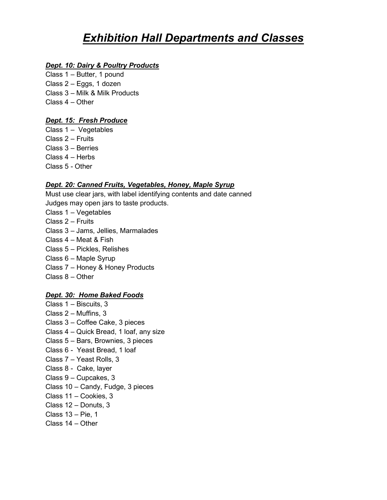## **Exhibition Hall Departments and Classes**

#### Dept. 10: Dairy & Poultry Products

Class 1 – Butter, 1 pound Class 2 – Eggs, 1 dozen Class 3 – Milk & Milk Products Class 4 – Other

### Dept. 15: Fresh Produce

Class 1 – Vegetables Class 2 – Fruits Class 3 – Berries Class 4 – Herbs Class 5 - Other

### Dept. 20: Canned Fruits, Vegetables, Honey, Maple Syrup

Must use clear jars, with label identifying contents and date canned Judges may open jars to taste products.

- Class 1 Vegetables
- Class 2 Fruits
- Class 3 Jams, Jellies, Marmalades
- Class 4 Meat & Fish
- Class 5 Pickles, Relishes
- Class 6 Maple Syrup
- Class 7 Honey & Honey Products
- Class 8 Other

### Dept. 30: Home Baked Foods

- Class 1 Biscuits, 3 Class 2 – Muffins, 3 Class 3 – Coffee Cake, 3 pieces Class 4 – Quick Bread, 1 loaf, any size Class 5 – Bars, Brownies, 3 pieces Class 6 - Yeast Bread, 1 loaf Class 7 – Yeast Rolls, 3 Class 8 - Cake, layer Class 9 – Cupcakes, 3 Class 10 – Candy, Fudge, 3 pieces Class 11 – Cookies, 3 Class 12 – Donuts, 3 Class 13 – Pie, 1
- Class 14 Other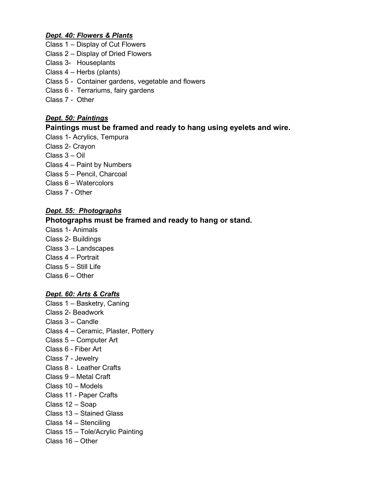#### Dept. 40: Flowers & Plants

- Class 1 Display of Cut Flowers
- Class 2 Display of Dried Flowers
- Class 3- Houseplants
- Class 4 Herbs (plants)
- Class 5 Container gardens, vegetable and flowers
- Class 6 Terrariums, fairy gardens
- Class 7 Other

#### Dept. 50: Paintings

#### Paintings must be framed and ready to hang using eyelets and wire.

- Class 1- Acrylics, Tempura
- Class 2- Crayon
- Class 3 Oil
- Class 4 Paint by Numbers
- Class 5 Pencil, Charcoal
- Class 6 Watercolors
- Class 7 Other

#### Dept. 55: Photographs

### Photographs must be framed and ready to hang or stand.

Class 1- Animals Class 2- Buildings Class 3 – Landscapes Class 4 – Portrait Class 5 – Still Life Class 6 – Other

#### Dept. 60: Arts & Crafts

Class 1 – Basketry, Caning Class 2- Beadwork Class 3 – Candle Class 4 – Ceramic, Plaster, Pottery Class 5 – Computer Art Class 6 - Fiber Art Class 7 - Jewelry Class 8 - Leather Crafts Class 9 – Metal Craft Class 10 – Models Class 11 - Paper Crafts Class 12 – Soap Class 13 – Stained Glass Class 14 – Stenciling Class 15 – Tole/Acrylic Painting Class 16 – Other